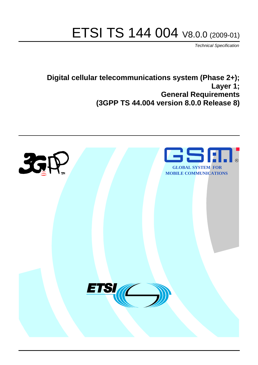# ETSI TS 144 004 V8.0.0 (2009-01)

*Technical Specification*

## **Digital cellular telecommunications system (Phase 2+); Layer 1; General Requirements (3GPP TS 44.004 version 8.0.0 Release 8)**

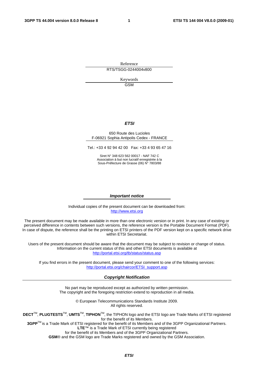Reference RTS/TSGG-0244004v800

> Keywords GSM

#### *ETSI*

#### 650 Route des Lucioles F-06921 Sophia Antipolis Cedex - FRANCE

Tel.: +33 4 92 94 42 00 Fax: +33 4 93 65 47 16

Siret N° 348 623 562 00017 - NAF 742 C Association à but non lucratif enregistrée à la Sous-Préfecture de Grasse (06) N° 7803/88

#### *Important notice*

Individual copies of the present document can be downloaded from: [http://www.etsi.org](http://www.etsi.org/)

The present document may be made available in more than one electronic version or in print. In any case of existing or perceived difference in contents between such versions, the reference version is the Portable Document Format (PDF). In case of dispute, the reference shall be the printing on ETSI printers of the PDF version kept on a specific network drive within ETSI Secretariat.

Users of the present document should be aware that the document may be subject to revision or change of status. Information on the current status of this and other ETSI documents is available at <http://portal.etsi.org/tb/status/status.asp>

If you find errors in the present document, please send your comment to one of the following services: [http://portal.etsi.org/chaircor/ETSI\\_support.asp](http://portal.etsi.org/chaircor/ETSI_support.asp)

#### *Copyright Notification*

No part may be reproduced except as authorized by written permission. The copyright and the foregoing restriction extend to reproduction in all media.

> © European Telecommunications Standards Institute 2009. All rights reserved.

**DECT**TM, **PLUGTESTS**TM, **UMTS**TM, **TIPHON**TM, the TIPHON logo and the ETSI logo are Trade Marks of ETSI registered for the benefit of its Members.

**3GPP**TM is a Trade Mark of ETSI registered for the benefit of its Members and of the 3GPP Organizational Partners. **LTE**™ is a Trade Mark of ETSI currently being registered

for the benefit of its Members and of the 3GPP Organizational Partners.

**GSM**® and the GSM logo are Trade Marks registered and owned by the GSM Association.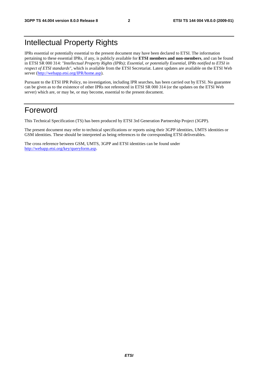## Intellectual Property Rights

IPRs essential or potentially essential to the present document may have been declared to ETSI. The information pertaining to these essential IPRs, if any, is publicly available for **ETSI members and non-members**, and can be found in ETSI SR 000 314: *"Intellectual Property Rights (IPRs); Essential, or potentially Essential, IPRs notified to ETSI in respect of ETSI standards"*, which is available from the ETSI Secretariat. Latest updates are available on the ETSI Web server ([http://webapp.etsi.org/IPR/home.asp\)](http://webapp.etsi.org/IPR/home.asp).

Pursuant to the ETSI IPR Policy, no investigation, including IPR searches, has been carried out by ETSI. No guarantee can be given as to the existence of other IPRs not referenced in ETSI SR 000 314 (or the updates on the ETSI Web server) which are, or may be, or may become, essential to the present document.

## Foreword

This Technical Specification (TS) has been produced by ETSI 3rd Generation Partnership Project (3GPP).

The present document may refer to technical specifications or reports using their 3GPP identities, UMTS identities or GSM identities. These should be interpreted as being references to the corresponding ETSI deliverables.

The cross reference between GSM, UMTS, 3GPP and ETSI identities can be found under [http://webapp.etsi.org/key/queryform.asp.](http://webapp.etsi.org/key/queryform.asp)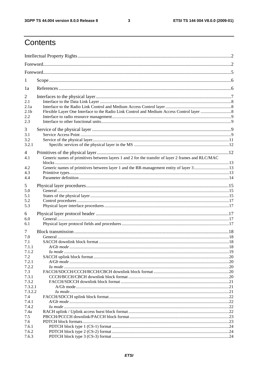$\mathbf{3}$ 

## Contents

| 1                  |                                                                                                   |  |
|--------------------|---------------------------------------------------------------------------------------------------|--|
| 1a                 |                                                                                                   |  |
| 2                  |                                                                                                   |  |
| 2.1                |                                                                                                   |  |
| 2.1a               |                                                                                                   |  |
| 2.1 <sub>b</sub>   |                                                                                                   |  |
| 2.2<br>2.3         |                                                                                                   |  |
|                    |                                                                                                   |  |
| 3                  |                                                                                                   |  |
| 3.1                |                                                                                                   |  |
| 3.2<br>3.2.1       |                                                                                                   |  |
|                    |                                                                                                   |  |
| 4                  |                                                                                                   |  |
| 4.1                | Generic names of primitives between layers 1 and 2 for the transfer of layer 2 frames and RLC/MAC |  |
| 4.2                | Generic names of primitives between layer 1 and the RR-management entity of layer 313             |  |
| 4.3                |                                                                                                   |  |
| 4.4                |                                                                                                   |  |
| 5                  |                                                                                                   |  |
| 5.0                |                                                                                                   |  |
| 5.1                |                                                                                                   |  |
| 5.2                |                                                                                                   |  |
| 5.3                |                                                                                                   |  |
| 6                  |                                                                                                   |  |
| 6.0                |                                                                                                   |  |
| 6.1                |                                                                                                   |  |
| $\tau$             |                                                                                                   |  |
| 7.0                |                                                                                                   |  |
| 7.1                |                                                                                                   |  |
| 7.1.1              |                                                                                                   |  |
| 7.1.2              |                                                                                                   |  |
| 7.2<br>7.2.1       |                                                                                                   |  |
| 7.2.2              |                                                                                                   |  |
| 7.3                |                                                                                                   |  |
| 7.3.1              |                                                                                                   |  |
| 7.3.2              |                                                                                                   |  |
| 7.3.2.1<br>7.3.2.2 |                                                                                                   |  |
| 7.4                |                                                                                                   |  |
| 7.4.1              |                                                                                                   |  |
| 7.4.2              |                                                                                                   |  |
| 7.4a               |                                                                                                   |  |
| 7.5                |                                                                                                   |  |
| 7.6<br>7.6.1       |                                                                                                   |  |
| 7.6.2              |                                                                                                   |  |
| 7.6.3              |                                                                                                   |  |
|                    |                                                                                                   |  |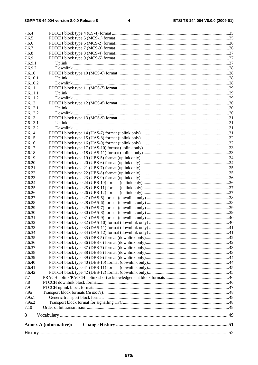| 7.6.4              |                               |  |
|--------------------|-------------------------------|--|
| 7.6.5              |                               |  |
| 7.6.6              |                               |  |
| 7.6.7              |                               |  |
| 7.6.8              |                               |  |
| 7.6.9              |                               |  |
| 7.6.9.1            |                               |  |
| 7.6.9.2            |                               |  |
| 7.6.10             |                               |  |
| 7.6.10.1           |                               |  |
| 7.6.10.2           |                               |  |
| 7.6.11             |                               |  |
| 7.6.11.1           |                               |  |
| 7.6.11.2           |                               |  |
| 7.6.12             |                               |  |
| 7.6.12.1           |                               |  |
| 7.6.12.2           |                               |  |
| 7.6.13             |                               |  |
| 7.6.13.1           |                               |  |
|                    |                               |  |
| 7.6.13.2<br>7.6.14 |                               |  |
|                    |                               |  |
| 7.6.15             |                               |  |
| 7.6.16             |                               |  |
| 7.6.17             |                               |  |
| 7.6.18             |                               |  |
| 7.6.19             |                               |  |
| 7.6.20             |                               |  |
| 7.6.21             |                               |  |
| 7.6.22             |                               |  |
| 7.6.23             |                               |  |
| 7.6.24             |                               |  |
| 7.6.25             |                               |  |
| 7.6.26             |                               |  |
| 7.6.27             |                               |  |
| 7.6.28             |                               |  |
| 7.6.29             |                               |  |
| 7.6.30             |                               |  |
| 7.6.31             |                               |  |
| 7.6.32             |                               |  |
| 7.6.33             |                               |  |
| 7.6.34             |                               |  |
| 7.6.35             |                               |  |
| 7.6.36             |                               |  |
| 7.6.37             |                               |  |
| 7.6.38             |                               |  |
| 7.6.39<br>7.6.40   |                               |  |
|                    |                               |  |
| 7.6.41<br>7.6.42   |                               |  |
| 7.7                |                               |  |
|                    |                               |  |
| 7.8                |                               |  |
| 7.9<br>7.9a        |                               |  |
| 7.9a.1             |                               |  |
| 7.9a.2             |                               |  |
| 7.10               |                               |  |
|                    |                               |  |
| 8                  |                               |  |
|                    | <b>Annex A (informative):</b> |  |
|                    |                               |  |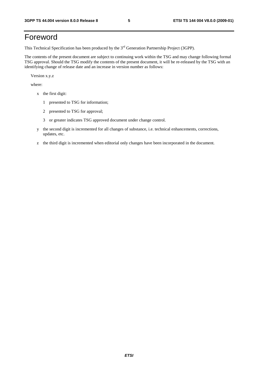## Foreword

This Technical Specification has been produced by the 3<sup>rd</sup> Generation Partnership Project (3GPP).

The contents of the present document are subject to continuing work within the TSG and may change following formal TSG approval. Should the TSG modify the contents of the present document, it will be re-released by the TSG with an identifying change of release date and an increase in version number as follows:

Version x.y.z

where:

- x the first digit:
	- 1 presented to TSG for information;
	- 2 presented to TSG for approval;
	- 3 or greater indicates TSG approved document under change control.
- y the second digit is incremented for all changes of substance, i.e. technical enhancements, corrections, updates, etc.
- z the third digit is incremented when editorial only changes have been incorporated in the document.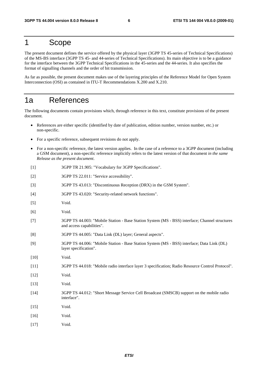## 1 Scope

The present document defines the service offered by the physical layer (3GPP TS 45-series of Technical Specifications) of the MS-BS interface (3GPP TS 45- and 44-series of Technical Specifications). Its main objective is to be a guidance for the interface between the 3GPP Technical Specifications in the 45-series and the 44-series. It also specifies the format of signalling channels and the order of bit transmission.

As far as possible, the present document makes use of the layering principles of the Reference Model for Open System Interconnection (OSI) as contained in ITU-T Recommendations X.200 and X.210.

## 1a References

The following documents contain provisions which, through reference in this text, constitute provisions of the present document.

- References are either specific (identified by date of publication, edition number, version number, etc.) or non-specific.
- For a specific reference, subsequent revisions do not apply.
- For a non-specific reference, the latest version applies. In the case of a reference to a 3GPP document (including a GSM document), a non-specific reference implicitly refers to the latest version of that document *in the same Release as the present document*.
- [1] 3GPP TR 21.905: "Vocabulary for 3GPP Specifications".
- [2] 3GPP TS 22.011: "Service accessibility".
- [3] 3GPP TS 43.013: "Discontinuous Reception (DRX) in the GSM System".
- [4] 3GPP TS 43.020: "Security-related network functions".
- [5] Void.
- [6] Void.
- [7] 3GPP TS 44.003: "Mobile Station Base Station System (MS BSS) interface; Channel structures and access capabilities".
- [8] 3GPP TS 44.005: "Data Link (DL) layer; General aspects".
- [9] 3GPP TS 44.006: "Mobile Station Base Station System (MS BSS) interface; Data Link (DL) layer specification".
- [10] **Void.**
- [11] 3GPP TS 44.018: "Mobile radio interface layer 3 specification; Radio Resource Control Protocol".
- [12] Void.
- [13] **Void.**
- [14] 3GPP TS 44.012: "Short Message Service Cell Broadcast (SMSCB) support on the mobile radio interface".
- [15] Void.
- [16] Void.
- [17] **Void.**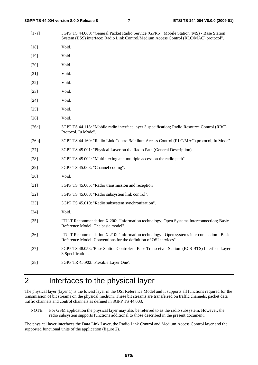[17a] 3GPP TS 44.060: "General Packet Radio Service (GPRS); Mobile Station (MS) - Base Station System (BSS) interface; Radio Link Control/Medium Access Control (RLC/MAC) protocol". [18] Void. [19] Void. [20] Void. [21] **Void.** [22] **Void.** [23] Void. [24] Void. [25] Void. [26] Void. [26a] 3GPP TS 44.118: "Mobile radio interface layer 3 specification; Radio Resource Control (RRC) Protocol, Iu Mode". [26b] 3GPP TS 44.160: "Radio Link Control/Medium Access Control (RLC/MAC) protocol, Iu Mode" [27] 3GPP TS 45.001: "Physical Layer on the Radio Path (General Description)". [28] 3GPP TS 45.002: "Multiplexing and multiple access on the radio path". [29] 3GPP TS 45.003: "Channel coding". [30] Void. [31] 3GPP TS 45.005: "Radio transmission and reception". [32] 3GPP TS 45.008: "Radio subsystem link control". [33] 3GPP TS 45.010: "Radio subsystem synchronization". [34] Void. [35] ITU-T Recommendation X.200: "Information technology; Open Systems Interconnection; Basic Reference Model: The basic model". [36] ITU-T Recommendation X.210: "Information technology - Open systems interconnection - Basic Reference Model: Conventions for the definition of OSI services". [37] 3GPP TS 48.058: 'Base Station Controler - Base Transceiver Station (BCS-BTS) Interface Layer 3 Specification'. [38] 3GPP TR 45.902: 'Flexible Layer One'.

## 2 Interfaces to the physical layer

The physical layer (layer 1) is the lowest layer in the OSI Reference Model and it supports all functions required for the transmission of bit streams on the physical medium. These bit streams are transferred on traffic channels, packet data traffic channels and control channels as defined in 3GPP TS 44.003.

NOTE: For GSM application the physical layer may also be referred to as the radio subsystem. However, the radio subsystem supports functions additional to those described in the present document.

The physical layer interfaces the Data Link Layer, the Radio Link Control and Medium Access Control layer and the supported functional units of the application (figure 2).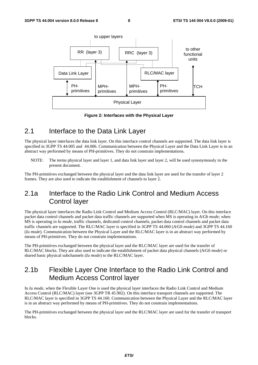

**Figure 2: Interfaces with the Physical Layer** 

## 2.1 Interface to the Data Link Layer

The physical layer interfaces the data link layer. On this interface control channels are supported. The data link layer is specified in 3GPP TS 44.005 and 44.006. Communication between the Physical Layer and the Data Link Layer is in an abstract way performed by means of PH-primitives. They do not constrain implementations.

NOTE: The terms physical layer and layer 1, and data link layer and layer 2, will be used synonymously in the present document.

The PH-primitives exchanged between the physical layer and the data link layer are used for the transfer of layer 2 frames. They are also used to indicate the establishment of channels to layer 2.

## 2.1a Interface to the Radio Link Control and Medium Access Control layer

The physical layer interfaces the Radio Link Control and Medium Access Control (RLC/MAC) layer. On this interface packet data control channels and packet data traffic channels are supported when MS is operating in *A/Gb mode*; when MS is operating in *Iu mode*, traffic channels, dedicated control channels, packet data control channels and packet data traffic channels are supported. The RLC/MAC layer is specified in 3GPP TS 44.060 (*A/Gb mode*) and 3GPP TS 44.160 (*Iu mode*). Communication between the Physical Layer and the RLC/MAC layer is in an abstract way performed by means of PH-primitives. They do not constrain implementations.

The PH-primitives exchanged between the physical layer and the RLC/MAC layer are used for the transfer of RLC/MAC blocks. They are also used to indicate the establishment of packet data physical channels (*A/Gb mode*) or shared basic physical subchannels (*Iu mode*) to the RLC/MAC layer.

## 2.1b Flexible Layer One Interface to the Radio Link Control and Medium Access Control layer

In *Iu mode*, when the Flexible Layer One is used the physical layer interfaces the Radio Link Control and Medium Access Control (RLC/MAC) layer (see 3GPP TR 45.902). On this interface transport channels are supported. The RLC/MAC layer is specified in 3GPP TS 44.160. Communication between the Physical Layer and the RLC/MAC layer is in an abstract way performed by means of PH-primitives. They do not constrain implementations.

The PH-primitives exchanged between the physical layer and the RLC/MAC layer are used for the transfer of transport blocks.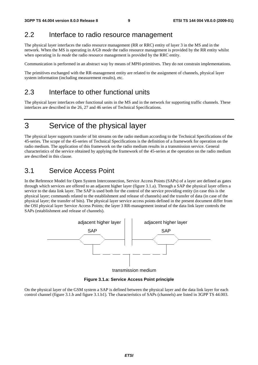## 2.2 Interface to radio resource management

The physical layer interfaces the radio resource management (RR or RRC) entity of layer 3 in the MS and in the network. When the MS is operating in *A/Gb mode* the radio resource management is provided by the RR entity whilst when operating in *Iu mode* the radio resource management is provided by the RRC entity.

Communication is performed in an abstract way by means of MPH-primitives. They do not constrain implementations.

The primitives exchanged with the RR-management entity are related to the assignment of channels, physical layer system information (including measurement results), etc.

## 2.3 Interface to other functional units

The physical layer interfaces other functional units in the MS and in the network for supporting traffic channels. These interfaces are described in the 26, 27 and 46 series of Technical Specifications.

## 3 Service of the physical layer

The physical layer supports transfer of bit streams on the radio medium according to the Technical Specifications of the 45-series. The scope of the 45-series of Technical Specifications is the definition of a framework for operation on the radio medium. The application of this framework on the radio medium results in a transmission service. General characteristics of the service obtained by applying the framework of the 45-series at the operation on the radio medium are described in this clause.

## 3.1 Service Access Point

In the Reference Model for Open System Interconnection, Service Access Points (SAPs) of a layer are defined as gates through which services are offered to an adjacent higher layer (figure 3.1.a). Through a SAP the physical layer offers a service to the data link layer. The SAP is used both for the control of the service providing entity (in case this is the physical layer; commands related to the establishment and release of channels) and the transfer of data (in case of the physical layer; the transfer of bits). The physical layer service access points defined in the present document differ from the OSI physical layer Service Access Points; the layer 3 RR-management instead of the data link layer controls the SAPs (establishment and release of channels).



**Figure 3.1.a: Service Access Point principle** 

On the physical layer of the GSM system a SAP is defined between the physical layer and the data link layer for each control channel (figure 3.1.b and figure 3.1.b1). The characteristics of SAPs (channels) are listed in 3GPP TS 44.003.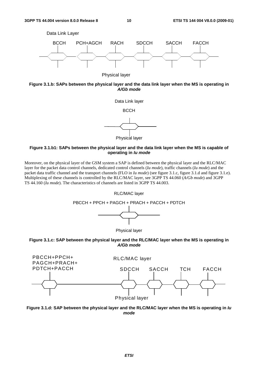

Physical layer





#### **Figure 3.1.b1: SAPs between the physical layer and the data link layer when the MS is capable of operating in** *Iu mode*

Moreover, on the physical layer of the GSM system a SAP is defined between the physical layer and the RLC/MAC layer for the packet data control channels, dedicated control channels (*Iu mode*), traffic channels (*Iu mode*) and the packet data traffic channel and the transport channels (FLO in *Iu mode*) (see figure 3.1.c, figure 3.1.d and figure 3.1.e). Multiplexing of these channels is controlled by the RLC/MAC layer, see 3GPP TS 44.060 (*A/Gb mode*) and 3GPP TS 44.160 (*Iu mode*). The characteristics of channels are listed in 3GPP TS 44.003.







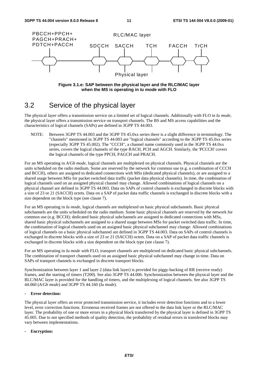

**Figure 3.1.e: SAP between the physical layer and the RLC/MAC layer when the MS is operating in** *Iu mode* **with FLO** 

## 3.2 Service of the physical layer

The physical layer offers a transmission service on a limited set of logical channels. Additionally with FLO in *Iu mode*, the physical layer offers a transmission service on transport channels. The BS and MS access capabilities and the characteristics of logical channels (SAPs) are defined in 3GPP TS 44.003.

NOTE: Between 3GPP TS 44.003 and the 3GPP TS 45.0xx series there is a slight difference in terminology. The "channels" mentioned in 3GPP TS 44.003 are "logical channels" according to the 3GPP TS 45.0xx series (especially 3GPP TS 45.002). The "CCCH", a channel name commonly used in the 3GPP TS 44.0xx series, covers the logical channels of the type RACH, PCH and AGCH. Similarly, the 'PCCCH' covers the logical channels of the type PPCH, PAGCH and PRACH.

For an MS operating in *A/Gb mode*, logical channels are multiplexed on physical channels. Physical channels are the units scheduled on the radio medium. Some are reserved by the network for common use (e.g. a combination of CCCH and BCCH), others are assigned to dedicated connections with MSs (dedicated physical channels), or are assigned to a shared usage between MSs for packet switched data traffic (packet data physical channels). In time, the combination of logical channels used on an assigned physical channel may change. Allowed combinations of logical channels on a physical channel are defined in 3GPP TS 44.003. Data on SAPs of control channels is exchanged in discrete blocks with a size of 23 or 21 (SACCH) octets. Data on a SAP of packet data traffic channels is exchanged in discrete blocks with a size dependent on the block type (see clause 7).

For an MS operating in *Iu mode*, logical channels are multiplexed on basic physical subchannels. Basic physical subchannels are the units scheduled on the radio medium. Some basic physical channels are reserved by the network for common use (e.g. BCCH); dedicated basic physical subchannels are assigned to dedicated connections with MSs, shared basic physical subchannels are assigned to a shared usage between MSs for packet switched data traffic. In time, the combination of logical channels used on an assigned basic physical subchannel may change. Allowed combinations of logical channels on a basic physical subchannel are defined in 3GPP TS 44.003. Data on SAPs of control channels is exchanged in discrete blocks with a size of 23 or 21 (SACCH) octets. Data on a SAP of packet data traffic channels is exchanged in discrete blocks with a size dependent on the block type (see clause 7).

For an MS operating in *Iu mode* with FLO, transport channels are multiplexed on dedicated basic physical subchannels. The combination of transport channels used on an assigned basic physical subchannel may change in time. Data on SAPs of transport channels is exchanged in discrete transport blocks.

Synchronization between layer 1 and layer 2 (data link layer) is provided for piggy-backing of RR (receive ready) frames, and the starting of timers (T200). See also 3GPP TS 44.006. Synchronization between the physical layer and the RLC/MAC layer is provided for the handling of timers, and the multiplexing of logical channels. See also 3GPP TS 44.060 (*A/Gb mode*) and 3GPP TS 44.160 (*Iu mode*).

#### **- Error detection:**

The physical layer offers an error protected transmission service, it includes error detection functions and to a lower level, error correction functions. Erroneous received frames are not offered to the data link layer or the RLC/MAC layer. The probability of one or more errors in a physical block transferred by the physical layer is defined in 3GPP TS 45.005. Due to not specified methods of quality detection, the probability of residual errors in transferred blocks may vary between implementations.

#### **- Encryption:**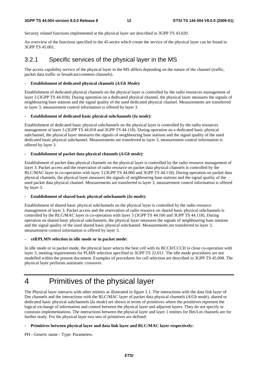Security related functions implemented at the physical layer are described in 3GPP TS 43.020.

An overview of the functions specified in the 45-series which create the service of the physical layer can be found in 3GPP TS 45.001.

## 3.2.1 Specific services of the physical layer in the MS

The access capability service of the physical layer in the MS differs depending on the nature of the channel (traffic, packet data traffic or broadcast/common channels).

#### **- Establishment of dedicated physical channels (***A/Gb Mode***):**

Establishment of dedicated physical channels on the physical layer is controlled by the radio resources management of layer 3 (3GPP TS 44.018). During operation on a dedicated physical channel, the physical layer measures the signals of neighbouring base stations and the signal quality of the used dedicated physical channel. Measurements are transferred to layer 3, measurement control information is offered by layer 3.

#### **- Establishment of dedicated basic physical subchannels (***Iu mode***):**

Establishment of dedicated basic physical subchannels on the physical layer is controlled by the radio resources management of layer 3 (3GPP TS 44.018 and 3GPP TS 44.118). During operation on a dedicated basic physical subchannel, the physical layer measures the signals of neighbouring base stations and the signal quality of the used dedicated basic physical subchannel. Measurements are transferred to layer 3, measurement control information is offered by layer 3.

#### **- Establishment of packet data physical channels (***A/Gb mode***):**

Establishment of packet data physical channels on the physical layer is controlled by the radio resource management of layer 3. Packet access and the reservation of radio resource on packet data physical channels is controlled by the RLC/MAC layer in co-operation with layer 3 (3GPP TS 44.060 and 3GPP TS 44.118). During operation on packet data physical channels, the physical layer measures the signals of neighbouring base stations and the signal quality of the used packet data physical channel. Measurements are transferred to layer 3, measurement control information is offered by layer 3.

#### **- Establishment of shared basic physical subchannels (***Iu mode***):**

Establishment of shared basic physical subchannels on the physical layer is controlled by the radio resource management of layer 3. Packet access and the reservation of radio resource on shared basic physical subchannels is controlled by the RLC/MAC layer in co-operation with layer 3 (3GPP TS 44.160 and 3GPP TS 44.118). During operation on shared basic physical subchannels, the physical layer measures the signals of neighbouring base stations and the signal quality of the used shared basic physical subchannel. Measurements are transferred to layer 3, measurement control information is offered by layer 3.

#### **- cell/PLMN selection in idle mode or in packet mode:**

In idle mode or in packet mode, the physical layer selects the best cell with its BCCH/CCCH in close co-operation with layer 3, meeting requirements for PLMN selection specified in 3GPP TS 22.011. The idle mode procedures are not modelled within the present document. Examples of procedures for cell selection are described in 3GPP TS 45.008. The physical layer performs automatic crossover.

## 4 Primitives of the physical layer

The Physical layer interacts with other entities as illustrated in figure 2.1. The interactions with the data link layer of Dm channels and the interactions with the RLC/MAC layer of packet data physical channels (*A/Gb mode*), shared or dedicated basic physical subchannels (*Iu mode*) are shown in terms of primitives where the primitives represent the logical exchange of information and control between the physical layer and adjacent layers. They do not specify or constrain implementations. The interactions between the physical layer and layer 1 entities for Bm/Lm channels are for further study. For the physical layer two sets of primitives are defined:

#### **- Primitives between physical layer and data link layer and RLC/MAC layer respectively:**

PH - Generic name - Type: Parameters.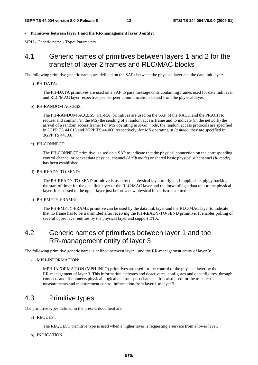#### **- Primitives between layer 1 and the RR-management layer 3 entity:**

MPH - Generic name - Type: Parameters.

## 4.1 Generic names of primitives between layers 1 and 2 for the transfer of layer 2 frames and RLC/MAC blocks

The following primitive generic names are defined on the SAPs between the physical layer and the data link layer:

#### a) PH-DATA:

 The PH-DATA primitives are used on a SAP to pass message units containing frames used for data link layer and RLC/MAC layer respective peer-to-peer communications to and from the physical layer.

#### b) PH-RANDOM ACCESS:

 The PH-RANDOM ACCESS (PH-RA) primitives are used on the SAP of the RACH and the PRACH to request and confirm (in the MS) the sending of a random access frame and to indicate (in the network) the arrival of a random access frame. For MS operating in *A/Gb mode*, the random access protocols are specified in 3GPP TS 44.018 and 3GPP TS 44.060 respectively; for MS operating in *Iu mode*, they are specified in 3GPP TS 44.160.

#### c) PH-CONNECT:

 The PH-CONNECT primitive is used on a SAP to indicate that the physical connection on the corresponding control channel or packet data physical channel (*A/Gb mode*) or shared basic physical subchannel (*Iu mode*) has been established.

#### d) PH-READY-TO-SEND:

 The PH-READY-TO-SEND primitive is used by the physical layer to trigger, if applicable, piggy backing, the start of timer for the data link layer or the RLC/MAC layer and the forwarding a data unit to the physical layer. It is passed to the upper layer just before a new physical block is transmitted.

#### e) PH-EMPTY-FRAME:

 The PH-EMPTY-FRAME primitive can be used by the data link layer and the RLC/MAC layer to indicate that no frame has to be transmitted after receiving the PH-READY-TO-SEND primitive. It enables polling of several upper layer entities by the physical layer and support DTX.

## 4.2 Generic names of primitives between layer 1 and the RR-management entity of layer 3

The following primitive generic name is defined between layer 1 and the RR-management entity of layer 3:

#### - MPH-INFORMATION:

 MPH-INFORMATION (MPH-INFO) primitives are used for the control of the physical layer by the RR-management of layer 3. This information activates and deactivates, configures and deconfigures, through connects and disconnects physical, logical and transport channels. It is also used for the transfer of measurements and measurement control information from layer 1 to layer 3.

## 4.3 Primitive types

The primitive types defined in the present document are:

a) REQUEST:

The REQUEST primitive type is used when a higher layer is requesting a service from a lower layer.

b) INDICATION: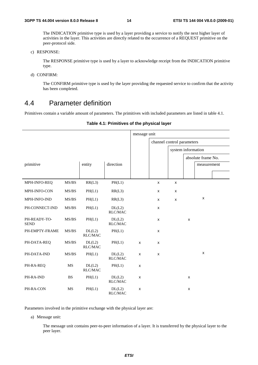The INDICATION primitive type is used by a layer providing a service to notify the next higher layer of activities in the layer. This activities are directly related to the occurrence of a REQUEST primitive on the peer-protocol side.

c) RESPONSE:

 The RESPONSE primitive type is used by a layer to acknowledge receipt from the INDICATION primitive type.

d) CONFIRM:

 The CONFIRM primitive type is used by the layer providing the requested service to confirm that the activity has been completed.

## 4.4 Parameter definition

Primitives contain a variable amount of parameters. The primitives with included parameters are listed in table 4.1.

|                             |                                                                   |                          |                          | message unit |                |                            |   |                    |  |
|-----------------------------|-------------------------------------------------------------------|--------------------------|--------------------------|--------------|----------------|----------------------------|---|--------------------|--|
|                             |                                                                   |                          |                          |              |                | channel control parameters |   |                    |  |
|                             |                                                                   |                          |                          |              |                | system information         |   |                    |  |
|                             |                                                                   |                          |                          |              |                |                            |   | absolute frame No. |  |
| primitive                   |                                                                   | entity                   | direction                |              |                |                            |   | measurement        |  |
|                             |                                                                   |                          |                          |              |                |                            |   |                    |  |
| MPH-INFO-REQ                | MS/BS                                                             | RR(L3)                   | PH(L1)                   |              | X              | X                          |   |                    |  |
| MPH-INFO-CON                | MS/BS                                                             | PH(L1)                   | RR(L3)                   |              | X              | X                          |   |                    |  |
| MPH-INFO-IND                | MS/BS                                                             | PH(L1)                   | RR(L3)                   |              | X              | $\pmb{\mathsf{x}}$         |   | X                  |  |
| PH-CONNECT-IND              | MS/BS                                                             | PH(L1)                   | DL(L2)<br>RLC/MAC        |              | X              |                            |   |                    |  |
| PH-READY-TO-<br><b>SEND</b> | $\ensuremath{\mathbf{MS}}\xspace/\ensuremath{\mathbf{BS}}\xspace$ | PH(L1)                   | DL(L2)<br>RLC/MAC        |              | $\pmb{\times}$ |                            | X |                    |  |
| PH-EMPTY-FRAME              | MS/BS                                                             | DL(L2)<br><b>RLC/MAC</b> | PH(L1)                   |              | X              |                            |   |                    |  |
| PH-DATA-REQ                 | MS/BS                                                             | DL(L2)<br><b>RLC/MAC</b> | PH(L1)                   | $\mathsf{x}$ | X              |                            |   |                    |  |
| PH-DATA-IND                 | MS/BS                                                             | PH(L1)                   | DL(L2)<br><b>RLC/MAC</b> | X            | $\pmb{\times}$ |                            |   | X                  |  |
| PH-RA-REQ                   | MS                                                                | DL(L2)<br><b>RLC/MAC</b> | PH(L1)                   | X            |                |                            |   |                    |  |
| PH-RA-IND                   | <b>BS</b>                                                         | PH(L1)                   | DL(L2)<br>RLC/MAC        | X            |                |                            | X |                    |  |
| PH-RA-CON                   | MS                                                                | PH(L1)                   | DL(L2)<br>RLC/MAC        | X            |                |                            | X |                    |  |

#### **Table 4.1: Primitives of the physical layer**

Parameters involved in the primitive exchange with the physical layer are:

a) Message unit:

 The message unit contains peer-to-peer information of a layer. It is transferred by the physical layer to the peer layer.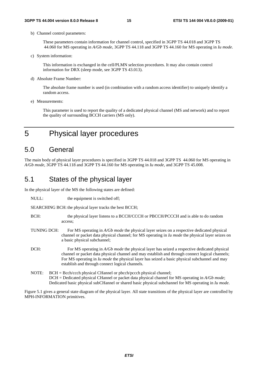b) Channel control parameters:

 These parameters contain information for channel control, specified in 3GPP TS 44.018 and 3GPP TS 44.060 for MS operating in *A/Gb mode*, 3GPP TS 44.118 and 3GPP TS 44.160 for MS operating in *Iu mode*.

c) System information:

 This information is exchanged in the cell/PLMN selection procedures. It may also contain control information for DRX (sleep mode, see 3GPP TS 43.013).

d) Absolute Frame Number:

 The absolute frame number is used (in combination with a random access identifier) to uniquely identify a random access.

e) Measurements:

 This parameter is used to report the quality of a dedicated physical channel (MS and network) and to report the quality of surrounding BCCH carriers (MS only).

5 Physical layer procedures

## 5.0 General

The main body of physical layer procedures is specified in 3GPP TS 44.018 and 3GPP TS 44.060 for MS operating in *A/Gb mode*, 3GPP TS 44.118 and 3GPP TS 44.160 for MS operating in *Iu mode*, and 3GPP TS 45.008.

## 5.1 States of the physical layer

In the physical layer of the MS the following states are defined:

NULL: the equipment is switched off:

SEARCHING BCH: the physical layer tracks the best BCCH;

- BCH: the physical layer listens to a BCCH/CCCH or PBCCH/PCCCH and is able to do random access;
- TUNING DCH: For MS operating in *A/Gb mode* the physical layer seizes on a respective dedicated physical channel or packet data physical channel; for MS operating in *Iu mode* the physical layer seizes on a basic physical subchannel;
- DCH: For MS operating in *A/Gb mode* the physical layer has seized a respective dedicated physical channel or packet data physical channel and may establish and through connect logical channels; For MS operating in *Iu mode* the physical layer has seized a basic physical subchannel and may establish and through connect logical channels.
- NOTE: BCH = Bcch/ccch physical CHannel or pbcch/pccch physical channel; DCH = Dedicated physical CHannel or packet data physical channel for MS operating in *A/Gb mode*; Dedicated basic physical subCHannel or shared basic physical subchannel for MS operating in *Iu mode*.

Figure 5.1 gives a general state diagram of the physical layer. All state transitions of the physical layer are controlled by MPH-INFORMATION primitives.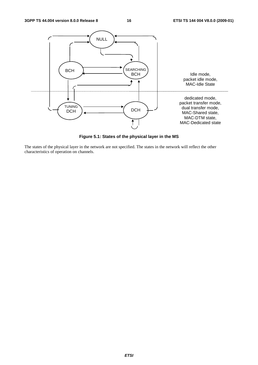

**Figure 5.1: States of the physical layer in the MS** 

The states of the physical layer in the network are not specified. The states in the network will reflect the other characteristics of operation on channels.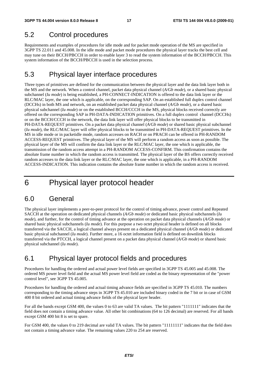## 5.2 Control procedures

Requirements and examples of procedures for idle mode and for packet mode operation of the MS are specified in 3GPP TS 22.011 and 45.008. In the idle mode and packet mode procedures the physical layer tracks the best cell and may tune on their BCCH/PBCCH in order to enable layer 3 to read the system information of the BCCH/PBCCH. This system information of the BCCH/PBCCH is used in the selection process.

## 5.3 Physical layer interface procedures

Three types of primitives are defined for the communication between the physical layer and the data link layer both in the MS and the network. When a control channel, packet data physical channel (*A/Gb mode*), or a shared basic physical subchannel (*Iu mode*) is being established, a PH-CONNECT-INDICATION is offered to the data link layer or the RLC/MAC layer, the one which is applicable, on the corresponding SAP. On an established full duplex control channel (DCCHs) in both MS and network, on an established packet data physical channel (*A/Gb mode*), or a shared basic physical subchannel (*Iu mode*) or on the established BCCH/CCCH in the MS, physical blocks received correctly are offered on the corresponding SAP in PH-DATA-INDICATION primitives. On a full duplex control channel (DCCHs) or on the BCCH/CCCH in the network, the data link layer will offer physical blocks to be transmitted in PH-DATA-REQUEST primitives. On a packet data physical channel (*A/Gb mode*) or shared basic physical subchannel (*Iu mode*), the RLC/MAC layer will offer physical blocks to be transmitted in PH-DATA-REQUEST primitives. In the MS in idle mode or in packetidle mode, random accesses on RACH or on PRACH can be offered in PH-RANDOM ACCESS-REQUEST primitives. The physical layer of the MS will perform a random access as soon as possible. The physical layer of the MS will confirm the data link layer or the RLC/MAC layer, the one which is applicable, the transmission of the random access attempt in a PH-RANDOM ACCESS-CONFIRM. This confirmation contains the absolute frame number in which the random access is transmitted. The physical layer of the BS offers correctly received random accesses to the data link layer or the RLC/MAC layer, the one which is applicable, in a PH-RANDOM ACCESS-INDICATION. This indication contains the absolute frame number in which the random access is received.

## 6 Physical layer protocol header

## 6.0 General

The physical layer implements a peer-to-peer protocol for the control of timing advance, power control and Repeated SACCH at the operation on dedicated physical channels (*A/Gb mode*) or dedicated basic physical subchannels (*Iu mode*), and further, for the control of timing advance at the operation on packet data physical channels (*A/Gb mode*) or shared basic physical subchannels (*Iu mode*). For this purpose a two octet physical header is defined on all blocks transferred via the SACCH, a logical channel always present on a dedicated physical channel (*A/Gb mode*) or dedicated basic physical subchannel (*Iu mode*). Further more, a 16 octet information field is defined on downlink blocks transferred via the PTCCH, a logical channel present on a packet data physical channel (*A/Gb mode*) or shared basic physical subchannel (*Iu mode*).

## 6.1 Physical layer protocol fields and procedures

Procedures for handling the ordered and actual power level fields are specified in 3GPP TS 45.005 and 45.008. The ordered MS power level field and the actual MS power level field are coded as the binary representation of the "power control level", see 3GPP TS 45.005.

Procedures for handling the ordered and actual timing advance fields are specified in 3GPP TS 45.010. The numbers corresponding to the timing advance steps in 3GPP TS 45.010 are included binary coded in the 7 bit or in case of GSM 400 8 bit ordered and actual timing advance fields of the physical layer header.

For all the bands except GSM 400, the values 0 to 63 are valid TA values. The bit pattern "1111111" indicates that the field does not contain a timing advance value. All other bit combinations (64 to 126 decimal) are reserved. For all bands except GSM 400 bit 8 is set to spare.

For GSM 400, the values 0 to 219 decimal are valid TA values. The bit pattern "11111111" indicates that the field does not contain a timing advance value. The remaining values 220 to 254 are reserved.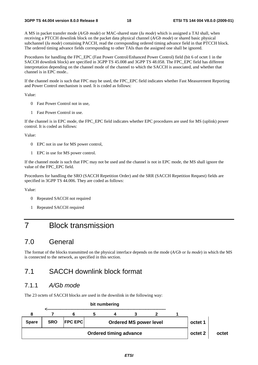A MS in packet transfer mode (*A/Gb mode*) or MAC-shared state (*Iu mode*) which is assigned a TAI shall, when receiving a PTCCH downlink block on the packet data physical channel (*A/Gb mode*) or shared basic physical subchannel (*Iu mode*) containing PACCH, read the corresponding ordered timing advance field in that PTCCH block. The ordered timing advance fields corresponding to other TAIs than the assigned one shall be ignored.

Procedures for handling the FPC\_EPC (Fast Power Control/Enhanced Power Control) field (bit 6 of octet 1 in the SACCH downlink block) are specified in 3GPP TS 45.008 and 3GPP TS 48.058. The FPC\_EPC field has different interpretation depending on the channel mode of the channel to which the SACCH is associated, and whether that channel is in EPC mode..

If the channel mode is such that FPC may be used, the FPC\_EPC field indicates whether Fast Measurement Reporting and Power Control mechanism is used. It is coded as follows:

Value:

- 0 Fast Power Control not in use,
- 1 Fast Power Control in use.

If the channel is in EPC mode, the FPC\_EPC field indicates whether EPC procedures are used for MS (uplink) power control. It is coded as follows:

Value:

- 0 EPC not in use for MS power control,
- 1 EPC in use for MS power control.

If the channel mode is such that FPC may not be used and the channel is not in EPC mode, the MS shall ignore the value of the FPC\_EPC field.

Procedures for handling the SRO (SACCH Repetition Order) and the SRR (SACCH Repetition Request) fields are specified in 3GPP TS 44.006. They are coded as follows:

Value:

- 0 Repeated SACCH not required
- 1 Repeated SACCH required

## 7 Block transmission

## 7.0 General

The format of the blocks transmitted on the physical interface depends on the mode (*A/Gb* or *Iu mode*) in which the MS is connected to the network, as specified in this section.

## 7.1 SACCH downlink block format

### 7.1.1 *A/Gb mode*

The 23 octets of SACCH blocks are used in the downlink in the following way:

|              |            |                | <b>DILINIINGIING</b>          |                               |  |         |       |
|--------------|------------|----------------|-------------------------------|-------------------------------|--|---------|-------|
|              |            |                |                               |                               |  |         |       |
| <b>Spare</b> | <b>SRO</b> | <b>FPC EPC</b> |                               | <b>Ordered MS power level</b> |  | octet 1 |       |
|              |            |                | <b>Ordered timing advance</b> |                               |  | octet 2 | octet |

#### **bit numbering**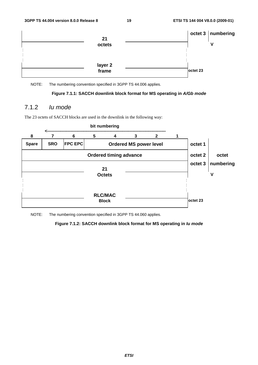

NOTE: The numbering convention specified in 3GPP TS 44.006 applies.



## 7.1.2 *Iu mode*

The 23 octets of SACCH blocks are used in the downlink in the following way:



NOTE: The numbering convention specified in 3GPP TS 44.060 applies.

### **Figure 7.1.2: SACCH downlink block format for MS operating in** *Iu mode*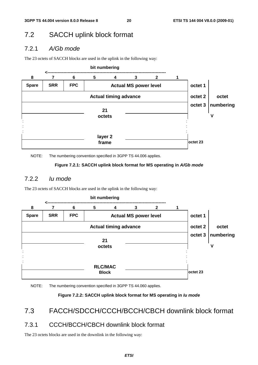## 7.2 SACCH uplink block format

## 7.2.1 *A/Gb mode*

The 23 octets of SACCH blocks are used in the uplink in the following way:



NOTE: The numbering convention specified in 3GPP TS 44.006 applies.

### **Figure 7.2.1: SACCH uplink block format for MS operating in** *A/Gb mode*

## 7.2.2 *Iu mode*

The 23 octets of SACCH blocks are used in the uplink in the following way:



NOTE: The numbering convention specified in 3GPP TS 44.060 applies.

### **Figure 7.2.2: SACCH uplink block format for MS operating in** *Iu mode*

## 7.3 FACCH/SDCCH/CCCH/BCCH/CBCH downlink block format

## 7.3.1 CCCH/BCCH/CBCH downlink block format

The 23 octets blocks are used in the downlink in the following way: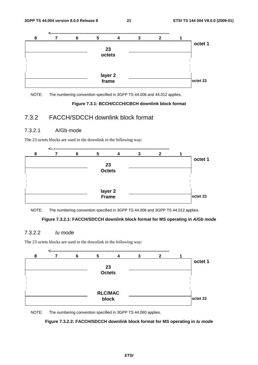

NOTE: The numbering convention specified in 3GPP TS 44.006 and 44.012 applies.

#### **Figure 7.3.1: BCCH/CCCH/CBCH downlink block format**

## 7.3.2 FACCH/SDCCH downlink block format

### 7.3.2.1 A/Gb mode

The 23 octets blocks are used in the downlink in the following way:



NOTE: The numbering convention specified in 3GPP TS 44.006 and 3GPP TS 44.012 applies.

#### **Figure 7.3.2.1: FACCH/SDCCH downlink block format for MS operating in** *A/Gb mode*

#### 7.3.2.2 *Iu mode*

The 23 octets blocks are used in the downlink in the following way:



NOTE: The numbering convention specified in 3GPP TS 44.060 applies.

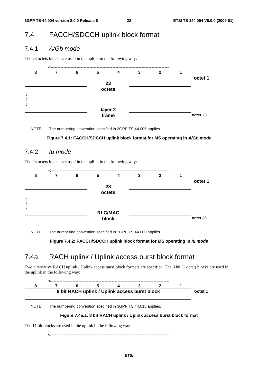## 7.4 FACCH/SDCCH uplink block format

## 7.4.1 *A/Gb mode*

The 23 octets blocks are used in the uplink in the following way:



NOTE: The numbering convention specified in 3GPP TS 44.006 applies.

#### **Figure 7.4.1: FACCH/SDCCH uplink block format for MS operating in** *A/Gb mode*

## 7.4.2 *Iu mode*

The 23 octets blocks are used in the uplink in the following way:



NOTE: The numbering convention specified in 3GPP TS 44.060 applies.

**Figure 7.4.2: FACCH/SDCCH uplink block format for MS operating in** *Iu mode*

## 7.4a RACH uplink / Uplink access burst block format

Two alternative RACH uplink / Uplink access burst block formats are specified. The 8 bit (1 octet) blocks are used in the uplink in the following way:



NOTE: The numbering convention specified in 3GPP TS 44.018 applies.

#### **Figure 7.4a.a: 8 bit RACH uplink / Uplink access burst block format**

The 11 bit blocks are used in the uplink in the following way:

**<----------------------------------------------------------------------------------**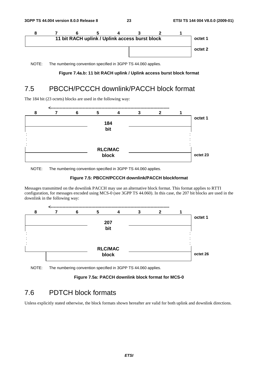

NOTE: The numbering convention specified in 3GPP TS 44.060 applies.

#### **Figure 7.4a.b: 11 bit RACH uplink / Uplink access burst block format**

## 7.5 PBCCH/PCCCH downlink/PACCH block format

The 184 bit (23 octets) blocks are used in the following way:



NOTE: The numbering convention specified in 3GPP TS 44.060 applies.

#### **Figure 7.5: PBCCH/PCCCH downlink/PACCH blockformat**

Messages transmitted on the downlink PACCH may use an alternative block format. This format applies to RTTI configuration, for messages encoded using MCS-0 (see 3GPP TS 44.060). In this case, the 207 bit blocks are used in the downlink in the following way:



NOTE: The numbering convention specified in 3GPP TS 44.060 applies.

**Figure 7.5a: PACCH downlink block format for MCS-0** 

## 7.6 PDTCH block formats

Unless explicitly stated otherwise, the block formats shown hereafter are valid for both uplink and downlink directions.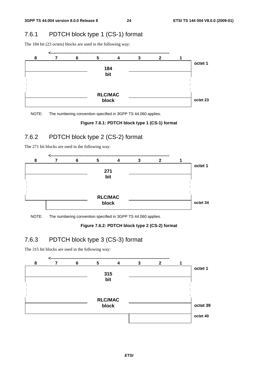## 7.6.1 PDTCH block type 1 (CS-1) format

The 184 bit (23 octets) blocks are used in the following way:



NOTE: The numbering convention specified in 3GPP TS 44.060 applies.

#### **Figure 7.6.1: PDTCH block type 1 (CS-1) format**

## 7.6.2 PDTCH block type 2 (CS-2) format

The 271 bit blocks are used in the following way:



NOTE: The numbering convention specified in 3GPP TS 44.060 applies.

#### **Figure 7.6.2: PDTCH block type 2 (CS-2) format**

## 7.6.3 PDTCH block type 3 (CS-3) format

The 315 bit blocks are used in the following way:

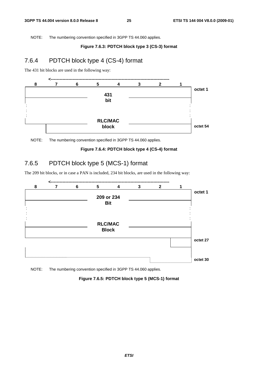NOTE: The numbering convention specified in 3GPP TS 44.060 applies.

#### **Figure 7.6.3: PDTCH block type 3 (CS-3) format**

## 7.6.4 PDTCH block type 4 (CS-4) format

The 431 bit blocks are used in the following way:





#### **Figure 7.6.4: PDTCH block type 4 (CS-4) format**

## 7.6.5 PDTCH block type 5 (MCS-1) format

The 209 bit blocks, or in case a PAN is included, 234 bit blocks, are used in the following way:



NOTE: The numbering convention specified in 3GPP TS 44.060 applies.

**Figure 7.6.5: PDTCH block type 5 (MCS-1) format**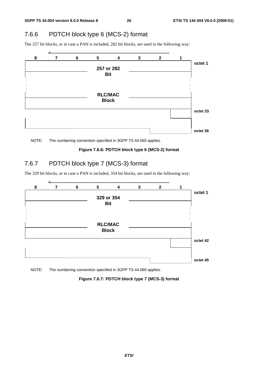## 7.6.6 PDTCH block type 6 (MCS-2) format

The 257 bit blocks, or in case a PAN is included, 282 bit blocks, are used in the following way:



NOTE: The numbering convention specified in 3GPP TS 44.060 applies.

#### **Figure 7.6.6: PDTCH block type 6 (MCS-2) format**

## 7.6.7 PDTCH block type 7 (MCS-3) format

The 329 bit blocks, or in case a PAN is included, 354 bit blocks, are used in the following way:



NOTE: The numbering convention specified in 3GPP TS 44.060 applies.

**Figure 7.6.7: PDTCH block type 7 (MCS-3) format**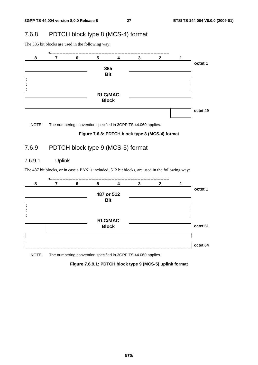## 7.6.8 PDTCH block type 8 (MCS-4) format

The 385 bit blocks are used in the following way:



NOTE: The numbering convention specified in 3GPP TS 44.060 applies.

#### **Figure 7.6.8: PDTCH block type 8 (MCS-4) format**

## 7.6.9 PDTCH block type 9 (MCS-5) format

## 7.6.9.1 Uplink

The 487 bit blocks, or in case a PAN is included, 512 bit blocks, are used in the following way:



NOTE: The numbering convention specified in 3GPP TS 44.060 applies.

### **Figure 7.6.9.1: PDTCH block type 9 (MCS-5) uplink format**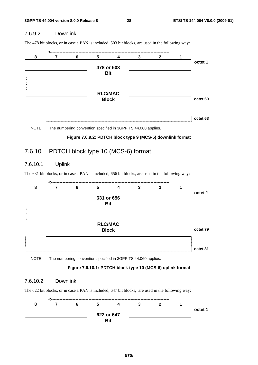## 7.6.9.2 Downlink

The 478 bit blocks, or in case a PAN is included, 503 bit blocks, are used in the following way:



NOTE: The numbering convention specified in 3GPP TS 44.060 applies.



## 7.6.10 PDTCH block type 10 (MCS-6) format

## 7.6.10.1 Uplink

The 631 bit blocks, or in case a PAN is included, 656 bit blocks, are used in the following way:



NOTE: The numbering convention specified in 3GPP TS 44.060 applies.

#### **Figure 7.6.10.1: PDTCH block type 10 (MCS-6) uplink format**

#### 7.6.10.2 Downlink

The 622 bit blocks, or in case a PAN is included, 647 bit blocks, are used in the following way:

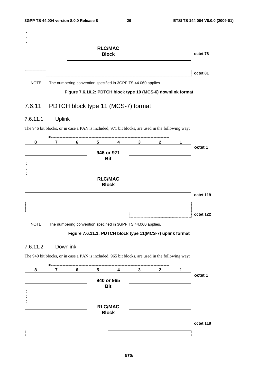

NOTE: The numbering convention specified in 3GPP TS 44.060 applies.

#### **Figure 7.6.10.2: PDTCH block type 10 (MCS-6) downlink format**

## 7.6.11 PDTCH block type 11 (MCS-7) format

## 7.6.11.1 Uplink

The 946 bit blocks, or in case a PAN is included, 971 bit blocks, are used in the following way:

|           | $\mathbf{2}$ | 3 | $\overline{\mathbf{4}}$ | 5 | 6 | 7 | 8 |
|-----------|--------------|---|-------------------------|---|---|---|---|
| octet 1   |              |   |                         |   |   |   |   |
|           |              |   | 946 or 971              |   |   |   |   |
|           |              |   | <b>Bit</b>              |   |   |   |   |
|           |              |   |                         |   |   |   |   |
|           |              |   |                         |   |   |   |   |
|           |              |   |                         |   |   |   |   |
|           |              |   | <b>RLC/MAC</b>          |   |   |   |   |
|           |              |   | <b>Block</b>            |   |   |   |   |
|           |              |   |                         |   |   |   |   |
| octet 119 |              |   |                         |   |   |   |   |
|           |              |   |                         |   |   |   |   |
|           |              |   |                         |   |   |   |   |
| octet 122 |              |   |                         |   |   |   |   |
|           |              |   |                         |   |   |   |   |

NOTE: The numbering convention specified in 3GPP TS 44.060 applies.

### **Figure 7.6.11.1: PDTCH block type 11(MCS-7) uplink format**

### 7.6.11.2 Downlink

The 940 bit blocks, or in case a PAN is included, 965 bit blocks, are used in the following way:

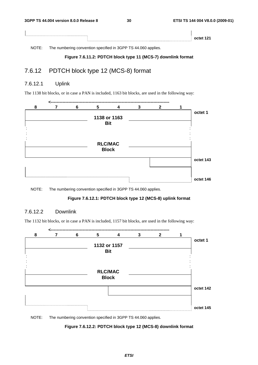| 7.111 |           |
|-------|-----------|
|       | octet 121 |

NOTE: The numbering convention specified in 3GPP TS 44.060 applies.

#### **Figure 7.6.11.2: PDTCH block type 11 (MCS-7) downlink format**

## 7.6.12 PDTCH block type 12 (MCS-8) format

## 7.6.12.1 Uplink

The 1138 bit blocks, or in case a PAN is included, 1163 bit blocks, are used in the following way:

|           | $\mathbf{2}$ | 3 | $\overline{\mathbf{4}}$ | 5 | 6 | 8 |
|-----------|--------------|---|-------------------------|---|---|---|
| octet 1   |              |   |                         |   |   |   |
|           |              |   | 1138 or 1163            |   |   |   |
|           |              |   | <b>Bit</b>              |   |   |   |
|           |              |   |                         |   |   |   |
|           |              |   |                         |   |   |   |
|           |              |   |                         |   |   |   |
|           |              |   | <b>RLC/MAC</b>          |   |   |   |
|           |              |   | <b>Block</b>            |   |   |   |
|           |              |   |                         |   |   |   |
| octet 143 |              |   |                         |   |   |   |
|           |              |   |                         |   |   |   |
|           |              |   |                         |   |   |   |
| octet 146 |              |   |                         |   |   |   |
|           |              |   |                         |   |   |   |

NOTE: The numbering convention specified in 3GPP TS 44.060 applies.

#### **Figure 7.6.12.1: PDTCH block type 12 (MCS-8) uplink format**

### 7.6.12.2 Downlink

The 1132 bit blocks, or in case a PAN is included, 1157 bit blocks, are used in the following way:



NOTE: The numbering convention specified in 3GPP TS 44.060 applies.

### **Figure 7.6.12.2: PDTCH block type 12 (MCS-8) downlink format**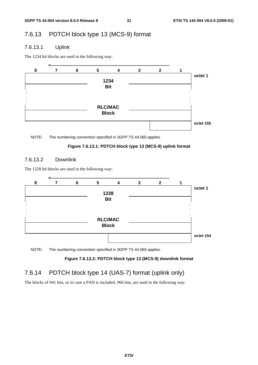## 7.6.13 PDTCH block type 13 (MCS-9) format

## 7.6.13.1 Uplink

The 1234 bit blocks are used in the following way:



NOTE: The numbering convention specified in 3GPP TS 44.060 applies.

## **Figure 7.6.13.1: PDTCH block type 13 (MCS-9) uplink format**

## 7.6.13.2 Downlink

The 1228 bit blocks are used in the following way:



NOTE: The numbering convention specified in 3GPP TS 44.060 applies.

## **Figure 7.6.13.2: PDTCH block type 13 (MCS-9) downlink format**

## 7.6.14 PDTCH block type 14 (UAS-7) format (uplink only)

The blocks of 941 bits, or in case a PAN is included, 966 bits, are used in the following way: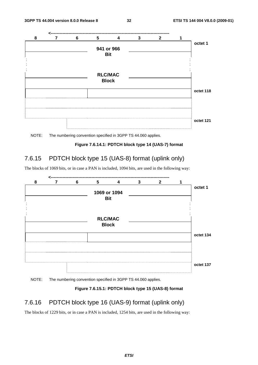



#### **Figure 7.6.14.1: PDTCH block type 14 (UAS-7) format**

## 7.6.15 PDTCH block type 15 (UAS-8) format (uplink only)

The blocks of 1069 bits, or in case a PAN is included, 1094 bits, are used in the following way:



NOTE: The numbering convention specified in 3GPP TS 44.060 applies.

#### **Figure 7.6.15.1: PDTCH block type 15 (UAS-8) format**

## 7.6.16 PDTCH block type 16 (UAS-9) format (uplink only)

The blocks of 1229 bits, or in case a PAN is included, 1254 bits, are used in the following way: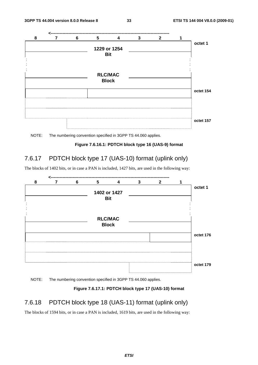

NOTE: The numbering convention specified in 3GPP TS 44.060 applies.

#### **Figure 7.6.16.1: PDTCH block type 16 (UAS-9) format**

## 7.6.17 PDTCH block type 17 (UAS-10) format (uplink only)

The blocks of 1402 bits, or in case a PAN is included, 1427 bits, are used in the following way:



NOTE: The numbering convention specified in 3GPP TS 44.060 applies.

#### **Figure 7.6.17.1: PDTCH block type 17 (UAS-10) format**

## 7.6.18 PDTCH block type 18 (UAS-11) format (uplink only)

The blocks of 1594 bits, or in case a PAN is included, 1619 bits, are used in the following way: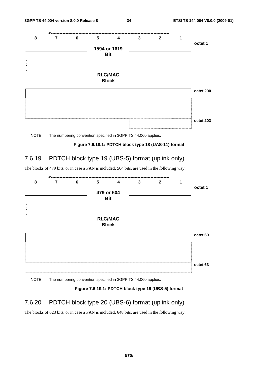

NOTE: The numbering convention specified in 3GPP TS 44.060 applies.

#### **Figure 7.6.18.1: PDTCH block type 18 (UAS-11) format**

## 7.6.19 PDTCH block type 19 (UBS-5) format (uplink only)

The blocks of 479 bits, or in case a PAN is included, 504 bits, are used in the following way:



NOTE: The numbering convention specified in 3GPP TS 44.060 applies.

#### **Figure 7.6.19.1: PDTCH block type 19 (UBS-5) format**

## 7.6.20 PDTCH block type 20 (UBS-6) format (uplink only)

The blocks of 623 bits, or in case a PAN is included, 648 bits, are used in the following way: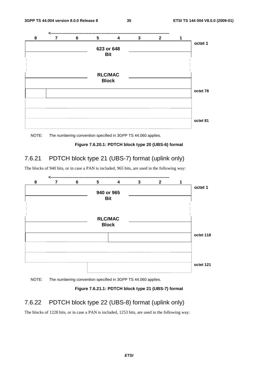



#### **Figure 7.6.20.1: PDTCH block type 20 (UBS-6) format**

## 7.6.21 PDTCH block type 21 (UBS-7) format (uplink only)

The blocks of 940 bits, or in case a PAN is included, 965 bits, are used in the following way:



NOTE: The numbering convention specified in 3GPP TS 44.060 applies.

#### **Figure 7.6.21.1: PDTCH block type 21 (UBS-7) format**

## 7.6.22 PDTCH block type 22 (UBS-8) format (uplink only)

The blocks of 1228 bits, or in case a PAN is included, 1253 bits, are used in the following way: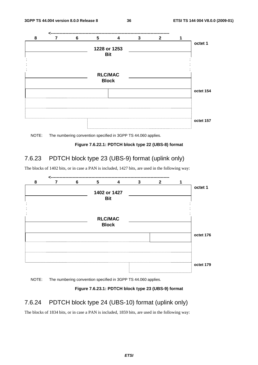



#### **Figure 7.6.22.1: PDTCH block type 22 (UBS-8) format**

## 7.6.23 PDTCH block type 23 (UBS-9) format (uplink only)

The blocks of 1402 bits, or in case a PAN is included, 1427 bits, are used in the following way:



NOTE: The numbering convention specified in 3GPP TS 44.060 applies.

#### **Figure 7.6.23.1: PDTCH block type 23 (UBS-9) format**

## 7.6.24 PDTCH block type 24 (UBS-10) format (uplink only)

The blocks of 1834 bits, or in case a PAN is included, 1859 bits, are used in the following way: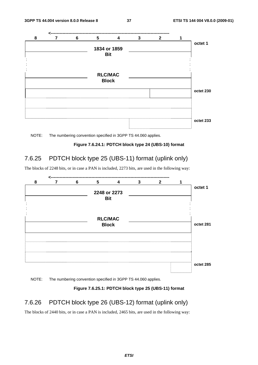

NOTE: The numbering convention specified in 3GPP TS 44.060 applies.

**Figure 7.6.24.1: PDTCH block type 24 (UBS-10) format** 

## 7.6.25 PDTCH block type 25 (UBS-11) format (uplink only)

The blocks of 2248 bits, or in case a PAN is included, 2273 bits, are used in the following way:



NOTE: The numbering convention specified in 3GPP TS 44.060 applies.

#### **Figure 7.6.25.1: PDTCH block type 25 (UBS-11) format**

## 7.6.26 PDTCH block type 26 (UBS-12) format (uplink only)

The blocks of 2440 bits, or in case a PAN is included, 2465 bits, are used in the following way: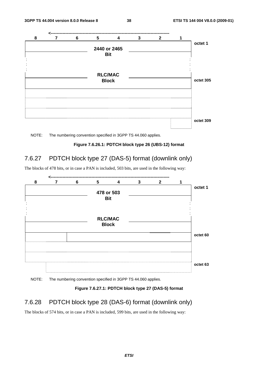![](_page_38_Figure_3.jpeg)

NOTE: The numbering convention specified in 3GPP TS 44.060 applies.

![](_page_38_Figure_5.jpeg)

## 7.6.27 PDTCH block type 27 (DAS-5) format (downlink only)

The blocks of 478 bits, or in case a PAN is included, 503 bits, are used in the following way:

![](_page_38_Figure_8.jpeg)

NOTE: The numbering convention specified in 3GPP TS 44.060 applies.

#### **Figure 7.6.27.1: PDTCH block type 27 (DAS-5) format**

## 7.6.28 PDTCH block type 28 (DAS-6) format (downlink only)

The blocks of 574 bits, or in case a PAN is included, 599 bits, are used in the following way: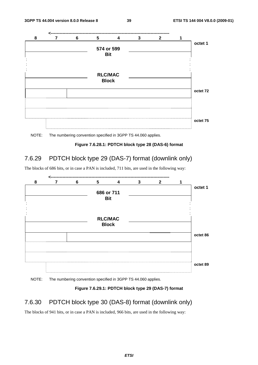![](_page_39_Figure_3.jpeg)

![](_page_39_Figure_4.jpeg)

#### **Figure 7.6.28.1: PDTCH block type 28 (DAS-6) format**

## 7.6.29 PDTCH block type 29 (DAS-7) format (downlink only)

The blocks of 686 bits, or in case a PAN is included, 711 bits, are used in the following way:

![](_page_39_Figure_8.jpeg)

### NOTE: The numbering convention specified in 3GPP TS 44.060 applies.

#### **Figure 7.6.29.1: PDTCH block type 29 (DAS-7) format**

## 7.6.30 PDTCH block type 30 (DAS-8) format (downlink only)

The blocks of 941 bits, or in case a PAN is included, 966 bits, are used in the following way: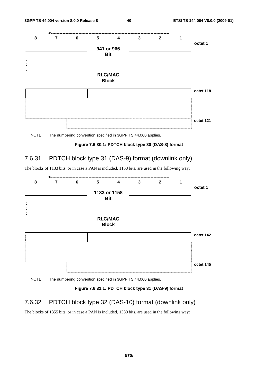![](_page_40_Figure_3.jpeg)

NOTE: The numbering convention specified in 3GPP TS 44.060 applies.

#### **Figure 7.6.30.1: PDTCH block type 30 (DAS-8) format**

## 7.6.31 PDTCH block type 31 (DAS-9) format (downlink only)

The blocks of 1133 bits, or in case a PAN is included, 1158 bits, are used in the following way:

![](_page_40_Figure_8.jpeg)

NOTE: The numbering convention specified in 3GPP TS 44.060 applies.

### **Figure 7.6.31.1: PDTCH block type 31 (DAS-9) format**

## 7.6.32 PDTCH block type 32 (DAS-10) format (downlink only)

The blocks of 1355 bits, or in case a PAN is included, 1380 bits, are used in the following way: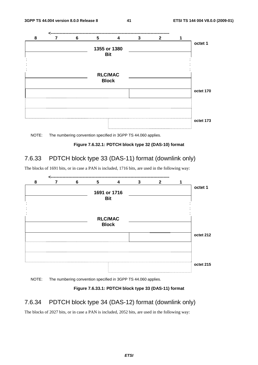![](_page_41_Figure_3.jpeg)

NOTE: The numbering convention specified in 3GPP TS 44.060 applies.

**Figure 7.6.32.1: PDTCH block type 32 (DAS-10) format** 

## 7.6.33 PDTCH block type 33 (DAS-11) format (downlink only)

The blocks of 1691 bits, or in case a PAN is included, 1716 bits, are used in the following way:

![](_page_41_Figure_8.jpeg)

NOTE: The numbering convention specified in 3GPP TS 44.060 applies.

### **Figure 7.6.33.1: PDTCH block type 33 (DAS-11) format**

## 7.6.34 PDTCH block type 34 (DAS-12) format (downlink only)

The blocks of 2027 bits, or in case a PAN is included, 2052 bits, are used in the following way: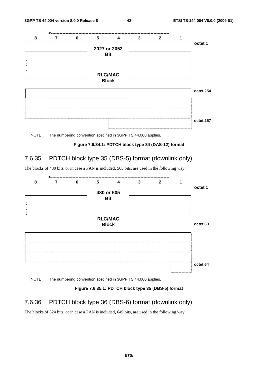![](_page_42_Figure_3.jpeg)

NOTE: The numbering convention specified in 3GPP TS 44.060 applies.

**Figure 7.6.34.1: PDTCH block type 34 (DAS-12) format** 

## 7.6.35 PDTCH block type 35 (DBS-5) format (downlink only)

The blocks of 480 bits, or in case a PAN is included, 505 bits, are used in the following way:

![](_page_42_Figure_8.jpeg)

NOTE: The numbering convention specified in 3GPP TS 44.060 applies.

**Figure 7.6.35.1: PDTCH block type 35 (DBS-5) format** 

## 7.6.36 PDTCH block type 36 (DBS-6) format (downlink only)

The blocks of 624 bits, or in case a PAN is included, 649 bits, are used in the following way: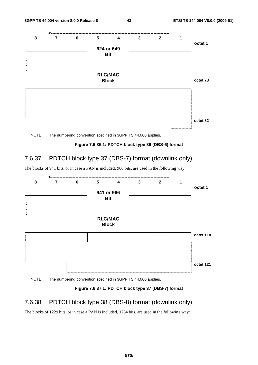![](_page_43_Figure_3.jpeg)

![](_page_43_Figure_4.jpeg)

**Figure 7.6.36.1: PDTCH block type 36 (DBS-6) format** 

## 7.6.37 PDTCH block type 37 (DBS-7) format (downlink only)

The blocks of 941 bits, or in case a PAN is included, 966 bits, are used in the following way:

![](_page_43_Figure_8.jpeg)

NOTE: The numbering convention specified in 3GPP TS 44.060 applies.

#### **Figure 7.6.37.1: PDTCH block type 37 (DBS-7) format**

## 7.6.38 PDTCH block type 38 (DBS-8) format (downlink only)

The blocks of 1229 bits, or in case a PAN is included, 1254 bits, are used in the following way: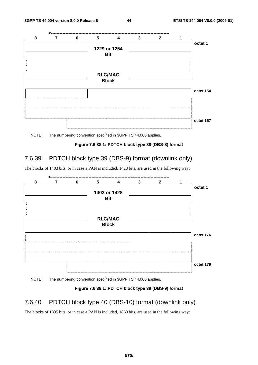![](_page_44_Figure_3.jpeg)

![](_page_44_Figure_4.jpeg)

#### **Figure 7.6.38.1: PDTCH block type 38 (DBS-8) format**

## 7.6.39 PDTCH block type 39 (DBS-9) format (downlink only)

The blocks of 1403 bits, or in case a PAN is included, 1428 bits, are used in the following way:

![](_page_44_Figure_8.jpeg)

NOTE: The numbering convention specified in 3GPP TS 44.060 applies.

#### **Figure 7.6.39.1: PDTCH block type 39 (DBS-9) format**

## 7.6.40 PDTCH block type 40 (DBS-10) format (downlink only)

The blocks of 1835 bits, or in case a PAN is included, 1860 bits, are used in the following way: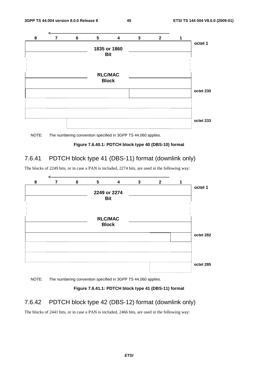![](_page_45_Figure_3.jpeg)

NOTE: The numbering convention specified in 3GPP TS 44.060 applies.

#### **Figure 7.6.40.1: PDTCH block type 40 (DBS-10) format**

## 7.6.41 PDTCH block type 41 (DBS-11) format (downlink only)

The blocks of 2249 bits, or in case a PAN is included, 2274 bits, are used in the following way:

![](_page_45_Figure_8.jpeg)

NOTE: The numbering convention specified in 3GPP TS 44.060 applies.

### **Figure 7.6.41.1: PDTCH block type 41 (DBS-11) format**

## 7.6.42 PDTCH block type 42 (DBS-12) format (downlink only)

The blocks of 2441 bits, or in case a PAN is included, 2466 bits, are used in the following way: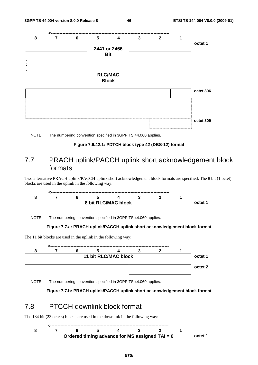![](_page_46_Figure_3.jpeg)

![](_page_46_Figure_4.jpeg)

**Figure 7.6.42.1: PDTCH block type 42 (DBS-12) format** 

## 7.7 PRACH uplink/PACCH uplink short acknowledgement block formats

Two alternative PRACH uplink/PACCH uplink short acknowledgement block formats are specified. The 8 bit (1 octet) blocks are used in the uplink in the following way:

![](_page_46_Figure_8.jpeg)

NOTE: The numbering convention specified in 3GPP TS 44.060 applies.

#### **Figure 7.7.a: PRACH uplink/PACCH uplink short acknowledgement block format**

The 11 bit blocks are used in the uplink in the following way:

![](_page_46_Figure_12.jpeg)

NOTE: The numbering convention specified in 3GPP TS 44.060 applies.

**Figure 7.7.b: PRACH uplink/PACCH uplink short acknowledgement block format** 

## 7.8 PTCCH downlink block format

The 184 bit (23 octets) blocks are used in the downlink in the following way:

![](_page_46_Figure_17.jpeg)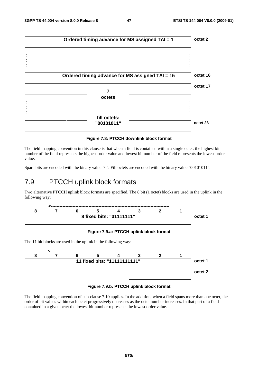![](_page_47_Figure_3.jpeg)

**Figure 7.8: PTCCH downlink block format** 

The field mapping convention in this clause is that when a field is contained within a single octet, the highest bit number of the field represents the highest order value and lowest bit number of the field represents the lowest order value.

Spare bits are encoded with the binary value "0". Fill octets are encoded with the binary value "00101011".

## 7.9 PTCCH uplink block formats

Two alternative PTCCH uplink block formats are specified. The 8 bit (1 octet) blocks are used in the uplink in the following way:

![](_page_47_Figure_9.jpeg)

### **Figure 7.9.a: PTCCH uplink block format**

The 11 bit blocks are used in the uplink in the following way:

![](_page_47_Figure_12.jpeg)

#### **Figure 7.9.b: PTCCH uplink block format**

The field mapping convention of sub-clause 7.10 applies. In the addition, when a field spans more than one octet, the order of bit values within each octet progressively decreases as the octet number increases. In that part of a field contained in a given octet the lowest bit number represents the lowest order value.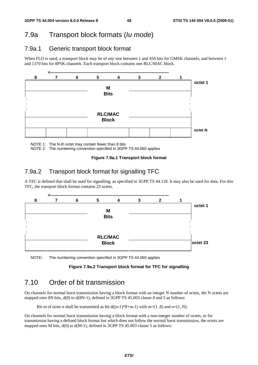## 7.9a Transport block formats (*Iu mode*)

## 7.9a.1 Generic transport block format

When FLO is used, a transport block may be of any size between 1 and 450 bits for GMSK channels, and between 1 and 1370 bits for 8PSK channels. Each transport block contains one RLC/MAC block.

![](_page_48_Figure_6.jpeg)

NOTE 1: The N-th octet may contain fewer than 8 bits

NOTE 2: The numbering convention specified in 3GPP TS 44.060 applies

#### **Figure 7.9a.1 Transport block format**

## 7.9a.2 Transport block format for signalling TFC

A TFC is defined that shall be used for signalling, as specified in 3GPP TS 44.118. It may also be used for data. For this TFC, the transport block format contains 23 octets.

![](_page_48_Figure_12.jpeg)

NOTE: The numbering convention specified in 3GPP TS 44.060 applies

#### **Figure 7.9a.2 Transport block format for TFC for signalling**

## 7.10 Order of bit transmission

On channels for normal burst transmission having a block format with an integer N number of octets, the N octets are mapped onto 8N bits, d(0) to d(8N-1), defined in 3GPP TS 45.003 clause 4 and 5 as follows:

Bit m of octet n shall be transmitted as bit  $d((n-1)*8+m-1)$  with m=(1..8) and n=(1..N).

On channels for normal burst transmission having a block format with a non-integer number of octets, or for transmission having a defined block format but which does not follow the normal burst transmission, the octets are mapped onto M bits,  $d(0)$  to  $d(M-1)$ , defined in 3GPP TS 45.003 clause 5 as follows: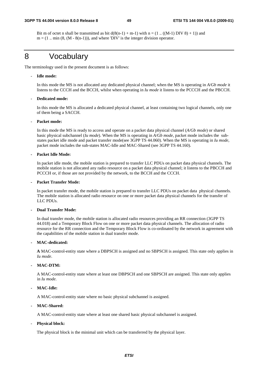Bit m of octet n shall be transmitted as bit  $d(8(n-1) + m-1)$  with  $n = (1 \dots ((M-1) DIV 8) + 1)$  and  $m = (1 \dots min (8, (M - 8(n-1))),$  and where 'DIV' is the integer division operator.

## 8 Vocabulary

The terminology used in the present document is as follows:

#### - **Idle mode:**

 In this mode the MS is not allocated any dedicated physical channel; when the MS is operating in *A/Gb mode* it listens to the CCCH and the BCCH, whilst when operating in *Iu mode* it listens to the PCCCH and the PBCCH.

#### - **Dedicated mode:**

 In this mode the MS is allocated a dedicated physical channel, at least containing two logical channels, only one of them being a SACCH.

#### Packet mode:

 In this mode the MS is ready to access and operate on a packet data physical channel (*A/Gb mode*) or shared basic physical subchannel (*Iu mode*). When the MS is operating in *A/Gb mode*, packet mode includes the substates packet idle mode and packet transfer mode(see 3GPP TS 44.060). When the MS is operating in *Iu mode,* packet mode includes the sub-states MAC-Idle and MAC-Shared (see 3GPP TS 44.160).

#### **- Packet Idle Mode:**

 In packet idle mode, the mobile station is prepared to transfer LLC PDUs on packet data physical channels. The mobile station is not allocated any radio resource on a packet data physical channel; it listens to the PBCCH and PCCCH or, if those are not provided by the network, to the BCCH and the CCCH.

#### **- Packet Transfer Mode:**

In packet transfer mode, the mobile station is prepared to transfer LLC PDUs on packet data physical channels. The mobile station is allocated radio resource on one or more packet data physical channels for the transfer of LLC PDUs.

#### **- Dual Transfer Mode:**

 In dual transfer mode, the mobile station is allocated radio resources providing an RR connection (3GPP TS 44.018) and a Temporary Block Flow on one or more packet data physical channels. The allocation of radio resource for the RR connection and the Temporary Block Flow is co-ordinated by the network in agreement with the capabilities of the mobile station in dual transfer mode.

#### **- MAC-dedicated:**

**A** MAC-control-entity state where a DBPSCH is assigned and no SBPSCH is assigned. This state only applies in *Iu mode*.

#### **- MAC-DTM:**

A MAC-control-entity state where at least one DBPSCH and one SBPSCH are assigned. This state only applies in *Iu mode*.

#### **- MAC-Idle:**

A MAC-control-entity state where no basic physical subchannel is assigned.

#### **- MAC-Shared:**

A MAC-control-entity state where at least one shared basic physical subchannel is assigned.

#### - **Physical block:**

The physical block is the minimal unit which can be transferred by the physical layer.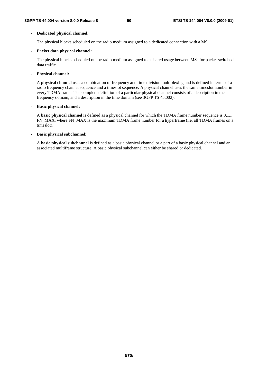### - **Dedicated physical channel:**

The physical blocks scheduled on the radio medium assigned to a dedicated connection with a MS.

### - **Packet data physical channel:**

 The physical blocks scheduled on the radio medium assigned to a shared usage between MSs for packet switched data traffic.

### - **Physical channel:**

A **physical channel** uses a combination of frequency and time division multiplexing and is defined in terms of a radio frequency channel sequence and a timeslot sequence. A physical channel uses the same timeslot number in every TDMA frame. The complete definition of a particular physical channel consists of a description in the frequency domain, and a description in the time domain (see 3GPP TS 45.002).

### **- Basic physical channel:**

A **basic physical channel** is defined as a physical channel for which the TDMA frame number sequence is 0,1,.. FN\_MAX, where FN\_MAX is the maximum TDMA frame number for a hyperframe (i.e. all TDMA frames on a timeslot).

### **- Basic physical subchannel:**

A **basic physical subchannel** is defined as a basic physical channel or a part of a basic physical channel and an associated multiframe structure. A basic physical subchannel can either be shared or dedicated.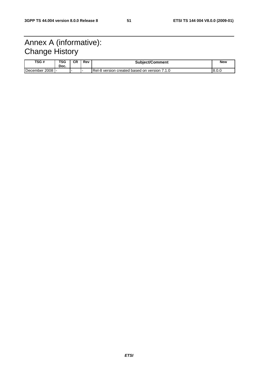## Annex A (informative): Change History

| TSG #           | <b>TSG</b><br>Doc. | СR | Rev | <b>Subject/Comment</b>                         | <b>New</b> |
|-----------------|--------------------|----|-----|------------------------------------------------|------------|
| December 2008 - |                    |    |     | I Rel-8 version created based on version 7.1.0 | 8.0.0      |